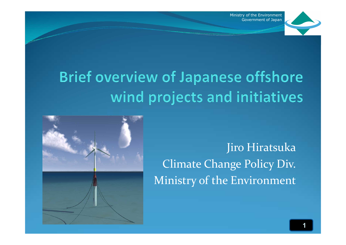### **Brief overview of Japanese offshore** wind projects and initiatives

Jiro Hiratsuka Climate Change Policy Div. Ministry of the Environment

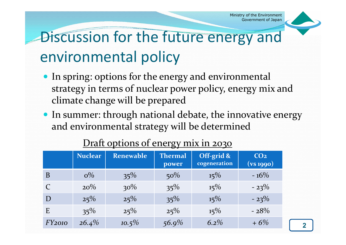

### Discussion for the future energy and environmental policy

- In spring: options for the energy and environmental strategy in terms of nuclear power policy, energy mix and climate change will be prepared
- In summer: through national debate, the innovative energy and environmental strategy will be determined

|        | <b>Nuclear</b> | <b>Renewable</b> | <b>Thermal</b><br>power | Off-grid &<br>cogeneration | CO <sub>2</sub><br>(vs 1990) |
|--------|----------------|------------------|-------------------------|----------------------------|------------------------------|
| B      | $0\%$          | $35\%$           | $50\%$                  | $15\%$                     | $-16\%$                      |
|        | $20\%$         | $30\%$           | $35\%$                  | $15\%$                     | $-23%$                       |
| D      | 25%            | 25%              | $35\%$                  | $15\%$                     | $-23%$                       |
| E      | $35\%$         | 25%              | 25%                     | $15\%$                     | $-28%$                       |
| FY2010 | $26.4\%$       | $10.5\%$         | 56.9%                   | 6.2%                       | $+6%$                        |

#### Draft options of energy mix in 2030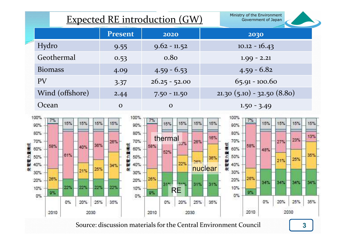|                 | <b>Expected RE introduction (GW)</b> | Ministry of the Environment<br>Government of Japan |                             |
|-----------------|--------------------------------------|----------------------------------------------------|-----------------------------|
|                 | <b>Present</b>                       | 2020                                               | 2030                        |
| Hydro           | 9.55                                 | $9.62 - 11.52$                                     | $10.12 - 16.43$             |
| Geothermal      | 0.53                                 | 0.8 <sub>0</sub>                                   | $1.99 - 2.21$               |
| <b>Biomass</b>  | 4.09                                 | $4.59 - 6.53$                                      | $4.59 - 6.82$               |
| <b>PV</b>       | 3.37                                 | $26.25 - 52.00$                                    | $65.91 - 100.60$            |
| Wind (offshore) | 2.44                                 | $7.50 - 11.50$                                     | $21.30(5.10) - 32.50(8.80)$ |
| Ocean           | $\mathbf O$                          | $\mathbf{O}$                                       | $1.50 - 3.49$               |

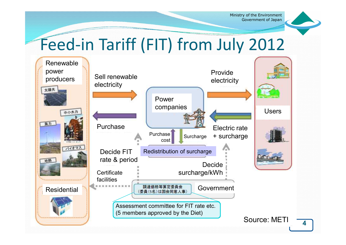### Feed-in Tariff (FIT) from July 2012

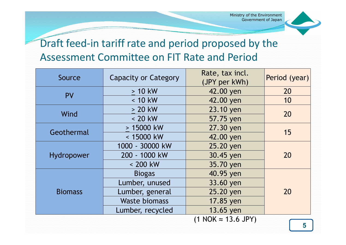

### Draft feed-in tariff rate and period proposed by the Assessment Committee on FIT Rate and Period

|                            | Source         | <b>Capacity or Category</b> | Rate, tax incl.<br>(JPY per kWh) | Period (year) |  |
|----------------------------|----------------|-----------------------------|----------------------------------|---------------|--|
|                            | <b>PV</b>      | $> 10$ kW                   | 42.00 yen                        | 20            |  |
|                            |                | $< 10$ kW                   | 42.00 yen                        | 10            |  |
|                            | Wind           | $> 20$ kW                   | 23.10 yen                        | 20            |  |
|                            |                | $< 20$ kW                   | 57.75 yen                        |               |  |
|                            | Geothermal     | > 15000 kW                  | 27.30 yen                        | 15            |  |
|                            |                | < 15000 kW                  | 42.00 yen                        |               |  |
|                            |                | 1000 - 30000 kW             | 25.20 yen                        | 20            |  |
|                            | Hydropower     | 200 - 1000 kW               | 30.45 yen                        |               |  |
|                            |                | $< 200$ kW                  | 35.70 yen                        |               |  |
|                            |                | <b>Biogas</b>               | 40.95 yen                        |               |  |
|                            |                | Lumber, unused              | 33.60 yen                        |               |  |
|                            | <b>Biomass</b> | Lumber, general             | 25.20 yen                        | 20            |  |
|                            |                | <b>Waste biomass</b>        | 17.85 yen                        |               |  |
|                            |                | Lumber, recycled            | 13.65 yen                        |               |  |
| $(1 NOK \approx 13.6 JPY)$ |                |                             |                                  |               |  |
|                            |                |                             |                                  | 5             |  |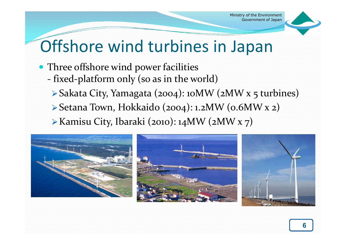

## Offshore wind turbines in Japan

- Three offshore wind power facilities
	- fixed-platform only (so as in the world)
	- Sakata City, Yamagata (2004): 10MW (2MW x 5 turbines)
	- Setana Town, Hokkaido (2004): 1.2MW (0.6MW x 2)
	- Kamisu City, Ibaraki (2010): 14MW (2MW x 7)

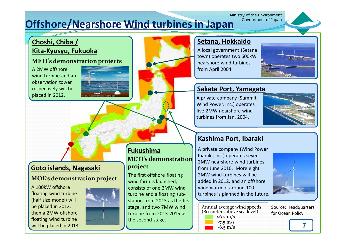#### Ministry of the Environment<br>Government of Japan **Offshore/Nearshore Wind turbines in Japan**

#### **Choshi, Chiba / Kita-Kyusyu, Fukuoka**

#### **METI's demonstration projects**

A 2MW offshore wind turbine and an observation tower respectively will be placed in 2012.





#### **Setana, Hokkaido**

A local government (Setana town) operates two 600kW nearshore wind turbines from April 2004.



#### **Sakata Port, Yamagata**

A private company (Summit Wind Power, Inc.) operates five 2MW nearshore wind turbines from Jan. 2004.



#### **Kashima Port, Ibaraki**

A private company (Wind Power Ibaraki, Inc.) operates seven 2MW nearshore wind turbines from June 2010. More eight 2MW wind turbines will be added in 2012, and an offshore wind warm of around 100 turbines is planned in the future.



Annual average wind speeds (80 meters above sea level)  $>6.5$  m/s >7.5 m/s

Source: Headquarters for Ocean Policy

**7**

#### **Goto islands, Nagasaki**

#### **MOE's demonstration project**

A 100kW offshore floating wind turbine (half size model) will be placed in 2012, then a 2MW offshore floating wind turbine will be placed in 2013.



The first offshore floating wind farm is launched, consists of one 2MW wind turbine and a floating substation from 2013 as the first stage, and two 7MW wind turbine from 2013-2015 as the second stage.

**Fukushima**

**project**

**METI's demonstration** 

 $>8.5 \,\mathrm{m/s}$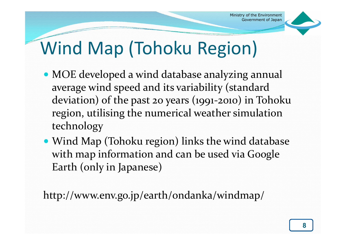

# Wind Map (Tohoku Region)

- MOE developed a wind database analyzing annual average wind speed and its variability (standard deviation) of the past 20 years (1991-2010) in Tohoku region, utilising the numerical weather simulation technology
- Wind Map (Tohoku region) links the wind database with map information and can be used via Google Earth (only in Japanese)

http://www.env.go.jp/earth/ondanka/windmap/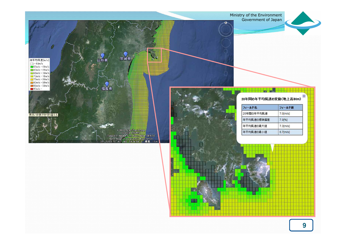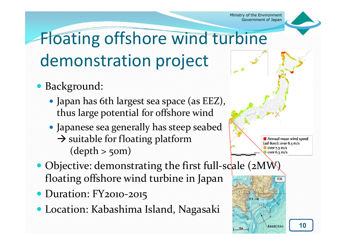

# Floating offshore wind turbine demonstration project

- Background:
	- Japan has 6th largest sea space (as EEZ), thus large potential for offshore wind
	- Japanese sea generally has steep seabed  $\rightarrow$  suitable for floating platform  $(depth > 50m)$
- Objective: demonstrating the first full-scale (2MW) floating offshore wind turbine in Japan
- Duration: FY2010-2015
- Location: Kabashima Island, Nagasaki





**10**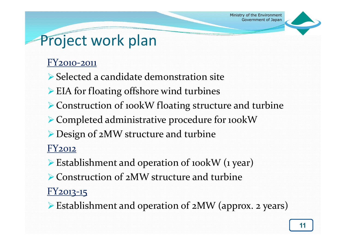### Project work plan

#### FY2010-2011

- Selected a candidate demonstration site
- EIA for floating offshore wind turbines
- ▶ Construction of 100 kW floating structure and turbine
- Completed administrative procedure for 100kW
- Design of 2MW structure and turbine

#### FY2012

- Establishment and operation of 100kW (1 year)
- ▶ Construction of 2MW structure and turbine

#### FY2013-15

Establishment and operation of 2MW (approx. 2 years)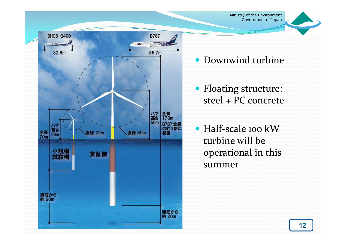

- Downwind turbine
- Floating structure: steel + PC concrete
- Half-scale 100 kW turbine will be operational in this summer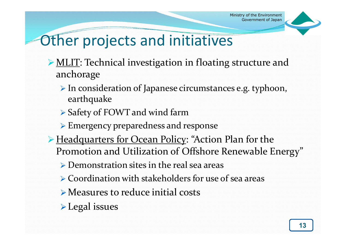

### Other projects and initiatives

- ▶ MLIT: Technical investigation in floating structure and anchorage
	- In consideration of Japanese circumstances e.g. typhoon, earthquake
	- ▶ Safety of FOWT and wind farm
	- Emergency preparedness and response
- ► Headquarters for Ocean Policy: "Action Plan for the Promotion and Utilization of Offshore Renewable Energy"
	- Demonstration sites in the real sea areas
	- Coordination with stakeholders for use of sea areas
	- Measures to reduce initial costs
	- **Legal** issues